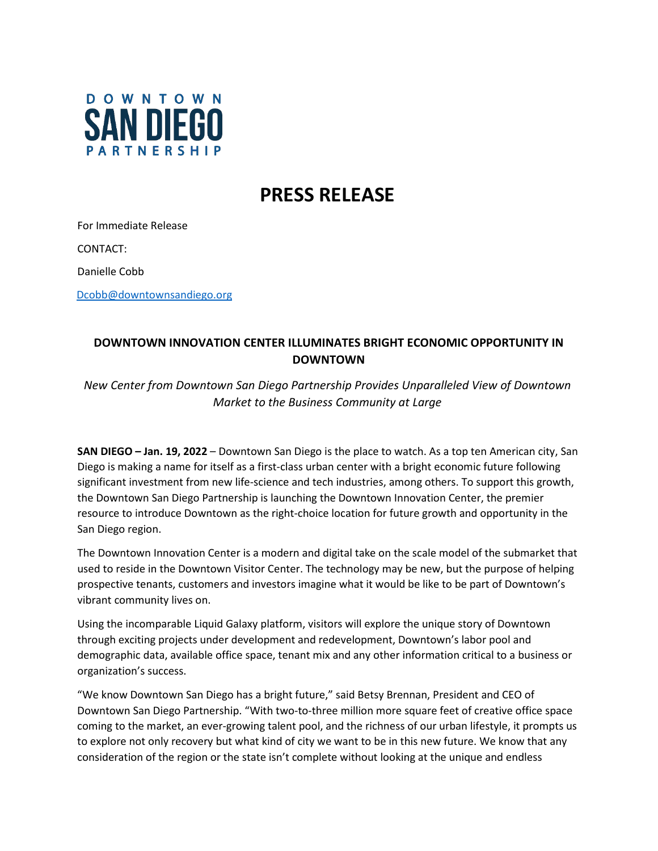

## **PRESS RELEASE**

For Immediate Release CONTACT: Danielle Cobb

## [Dcobb@downtownsandiego.org](mailto:Dcobb@downtownsandiego.org)

## **DOWNTOWN INNOVATION CENTER ILLUMINATES BRIGHT ECONOMIC OPPORTUNITY IN DOWNTOWN**

*New Center from Downtown San Diego Partnership Provides Unparalleled View of Downtown Market to the Business Community at Large*

**SAN DIEGO – Jan. 19, 2022** – Downtown San Diego is the place to watch. As a top ten American city, San Diego is making a name for itself as a first-class urban center with a bright economic future following significant investment from new life-science and tech industries, among others. To support this growth, the Downtown San Diego Partnership is launching the Downtown Innovation Center, the premier resource to introduce Downtown as the right-choice location for future growth and opportunity in the San Diego region.

The Downtown Innovation Center is a modern and digital take on the scale model of the submarket that used to reside in the Downtown Visitor Center. The technology may be new, but the purpose of helping prospective tenants, customers and investors imagine what it would be like to be part of Downtown's vibrant community lives on.

Using the incomparable Liquid Galaxy platform, visitors will explore the unique story of Downtown through exciting projects under development and redevelopment, Downtown's labor pool and demographic data, available office space, tenant mix and any other information critical to a business or organization's success.

"We know Downtown San Diego has a bright future," said Betsy Brennan, President and CEO of Downtown San Diego Partnership. "With two-to-three million more square feet of creative office space coming to the market, an ever-growing talent pool, and the richness of our urban lifestyle, it prompts us to explore not only recovery but what kind of city we want to be in this new future. We know that any consideration of the region or the state isn't complete without looking at the unique and endless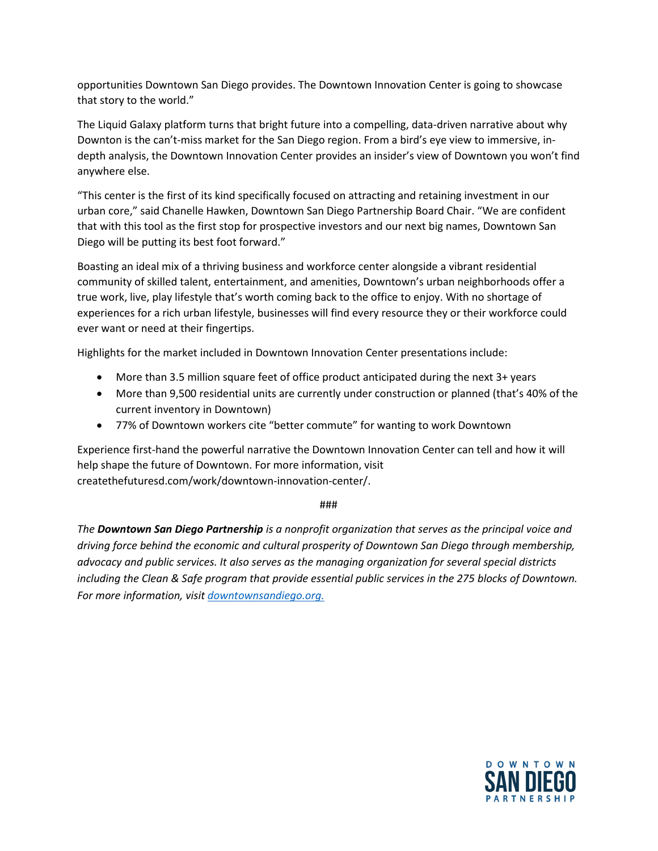opportunities Downtown San Diego provides. The Downtown Innovation Center is going to showcase that story to the world."

The Liquid Galaxy platform turns that bright future into a compelling, data-driven narrative about why Downton is the can't-miss market for the San Diego region. From a bird's eye view to immersive, indepth analysis, the Downtown Innovation Center provides an insider's view of Downtown you won't find anywhere else.

"This center is the first of its kind specifically focused on attracting and retaining investment in our urban core," said Chanelle Hawken, Downtown San Diego Partnership Board Chair. "We are confident that with this tool as the first stop for prospective investors and our next big names, Downtown San Diego will be putting its best foot forward."

Boasting an ideal mix of a thriving business and workforce center alongside a vibrant residential community of skilled talent, entertainment, and amenities, Downtown's urban neighborhoods offer a true work, live, play lifestyle that's worth coming back to the office to enjoy. With no shortage of experiences for a rich urban lifestyle, businesses will find every resource they or their workforce could ever want or need at their fingertips.

Highlights for the market included in Downtown Innovation Center presentations include:

- More than 3.5 million square feet of office product anticipated during the next 3+ years
- More than 9,500 residential units are currently under construction or planned (that's 40% of the current inventory in Downtown)
- 77% of Downtown workers cite "better commute" for wanting to work Downtown

Experience first-hand the powerful narrative the Downtown Innovation Center can tell and how it will help shape the future of Downtown. For more information, visit createthefuturesd.com/work/downtown-innovation-center/.

###

*The Downtown San Diego Partnership is a nonprofit organization that serves as the principal voice and driving force behind the economic and cultural prosperity of Downtown San Diego through membership, advocacy and public services. It also serves as the managing organization for several special districts including the Clean & Safe program that provide essential public services in the 275 blocks of Downtown. For more information, visit [downtownsandiego.org.](http://www.downtownsandiego.org/)*

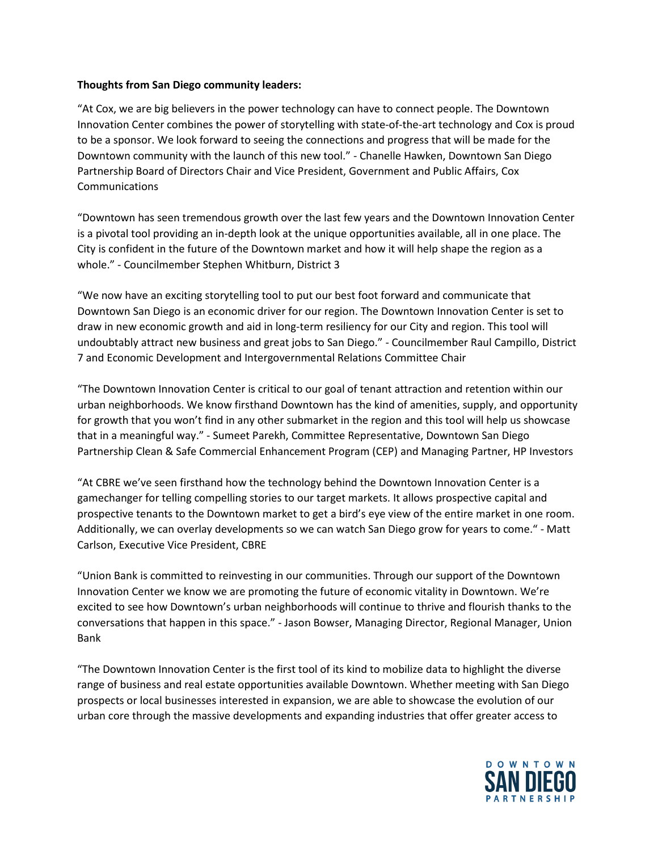## **Thoughts from San Diego community leaders:**

"At Cox, we are big believers in the power technology can have to connect people. The Downtown Innovation Center combines the power of storytelling with state-of-the-art technology and Cox is proud to be a sponsor. We look forward to seeing the connections and progress that will be made for the Downtown community with the launch of this new tool." - Chanelle Hawken, Downtown San Diego Partnership Board of Directors Chair and Vice President, Government and Public Affairs, Cox Communications

"Downtown has seen tremendous growth over the last few years and the Downtown Innovation Center is a pivotal tool providing an in-depth look at the unique opportunities available, all in one place. The City is confident in the future of the Downtown market and how it will help shape the region as a whole." - Councilmember Stephen Whitburn, District 3

"We now have an exciting storytelling tool to put our best foot forward and communicate that Downtown San Diego is an economic driver for our region. The Downtown Innovation Center is set to draw in new economic growth and aid in long-term resiliency for our City and region. This tool will undoubtably attract new business and great jobs to San Diego." - Councilmember Raul Campillo, District 7 and Economic Development and Intergovernmental Relations Committee Chair

"The Downtown Innovation Center is critical to our goal of tenant attraction and retention within our urban neighborhoods. We know firsthand Downtown has the kind of amenities, supply, and opportunity for growth that you won't find in any other submarket in the region and this tool will help us showcase that in a meaningful way." - Sumeet Parekh, Committee Representative, Downtown San Diego Partnership Clean & Safe Commercial Enhancement Program (CEP) and Managing Partner, HP Investors

"At CBRE we've seen firsthand how the technology behind the Downtown Innovation Center is a gamechanger for telling compelling stories to our target markets. It allows prospective capital and prospective tenants to the Downtown market to get a bird's eye view of the entire market in one room. Additionally, we can overlay developments so we can watch San Diego grow for years to come." - Matt Carlson, Executive Vice President, CBRE

"Union Bank is committed to reinvesting in our communities. Through our support of the Downtown Innovation Center we know we are promoting the future of economic vitality in Downtown. We're excited to see how Downtown's urban neighborhoods will continue to thrive and flourish thanks to the conversations that happen in this space." - Jason Bowser, Managing Director, Regional Manager, Union Bank

"The Downtown Innovation Center is the first tool of its kind to mobilize data to highlight the diverse range of business and real estate opportunities available Downtown. Whether meeting with San Diego prospects or local businesses interested in expansion, we are able to showcase the evolution of our urban core through the massive developments and expanding industries that offer greater access to